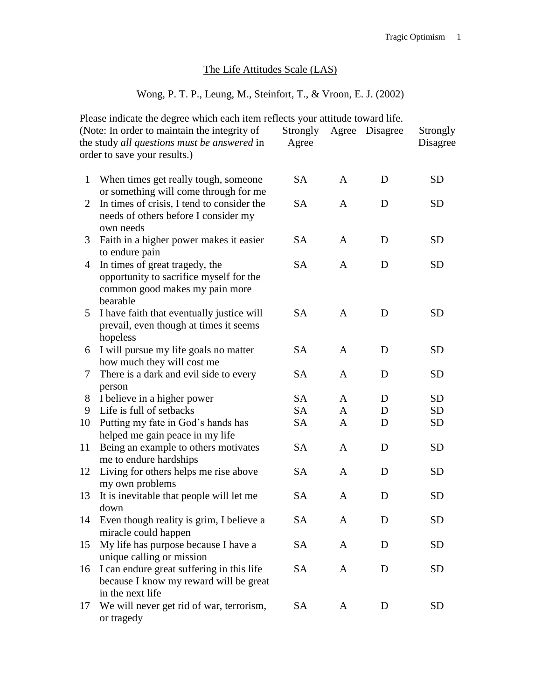## The Life Attitudes Scale (LAS)

## Wong, P. T. P., Leung, M., Steinfort, T., & Vroon, E. J. (2002)

|              | Please indicate the degree which each item reflects your attitude toward life. |           |              |          |           |
|--------------|--------------------------------------------------------------------------------|-----------|--------------|----------|-----------|
|              | (Note: In order to maintain the integrity of                                   | Strongly  | Agree        | Disagree | Strongly  |
|              | the study all questions must be answered in                                    | Agree     |              |          | Disagree  |
|              | order to save your results.)                                                   |           |              |          |           |
|              |                                                                                |           |              |          |           |
| $\mathbf{1}$ | When times get really tough, someone                                           | <b>SA</b> | A            | D        | <b>SD</b> |
|              | or something will come through for me                                          |           |              |          |           |
| 2            | In times of crisis, I tend to consider the                                     | <b>SA</b> | A            | D        | <b>SD</b> |
|              | needs of others before I consider my                                           |           |              |          |           |
|              | own needs                                                                      |           |              |          |           |
| 3            | Faith in a higher power makes it easier                                        | <b>SA</b> | $\mathbf{A}$ | D        | <b>SD</b> |
|              | to endure pain                                                                 |           |              |          |           |
| 4            | In times of great tragedy, the                                                 | <b>SA</b> | A            | D        | <b>SD</b> |
|              | opportunity to sacrifice myself for the                                        |           |              |          |           |
|              | common good makes my pain more                                                 |           |              |          |           |
|              | bearable                                                                       |           |              |          |           |
| 5            | I have faith that eventually justice will                                      | <b>SA</b> | $\mathbf{A}$ | D        | <b>SD</b> |
|              | prevail, even though at times it seems                                         |           |              |          |           |
|              | hopeless                                                                       |           |              |          |           |
| 6            | I will pursue my life goals no matter                                          | <b>SA</b> | A            | D        | <b>SD</b> |
|              | how much they will cost me                                                     |           |              |          |           |
| 7            | There is a dark and evil side to every                                         | <b>SA</b> | A            | D        | <b>SD</b> |
|              | person                                                                         | <b>SA</b> | $\mathbf{A}$ | D        | <b>SD</b> |
| 8<br>9       | I believe in a higher power<br>Life is full of setbacks                        | <b>SA</b> | A            | D        | <b>SD</b> |
| 10           | Putting my fate in God's hands has                                             | <b>SA</b> | A            | D        | <b>SD</b> |
|              | helped me gain peace in my life                                                |           |              |          |           |
| 11           | Being an example to others motivates                                           | <b>SA</b> | A            | D        | <b>SD</b> |
|              | me to endure hardships                                                         |           |              |          |           |
| 12           | Living for others helps me rise above                                          | <b>SA</b> | A            | D        | <b>SD</b> |
|              | my own problems                                                                |           |              |          |           |
| 13           | It is inevitable that people will let me                                       | <b>SA</b> | A            | D        | <b>SD</b> |
|              | down                                                                           |           |              |          |           |
| 14           | Even though reality is grim, I believe a                                       | SA        | A            | D        | <b>SD</b> |
|              | miracle could happen                                                           |           |              |          |           |
| 15           | My life has purpose because I have a                                           | SA        | A            | D        | <b>SD</b> |
|              | unique calling or mission                                                      |           |              |          |           |
| 16           | I can endure great suffering in this life                                      | SA        | A            | D        | <b>SD</b> |
|              | because I know my reward will be great                                         |           |              |          |           |
|              | in the next life                                                               |           |              |          |           |
| 17           | We will never get rid of war, terrorism,                                       | SA        | A            | D        | SD        |
|              | or tragedy                                                                     |           |              |          |           |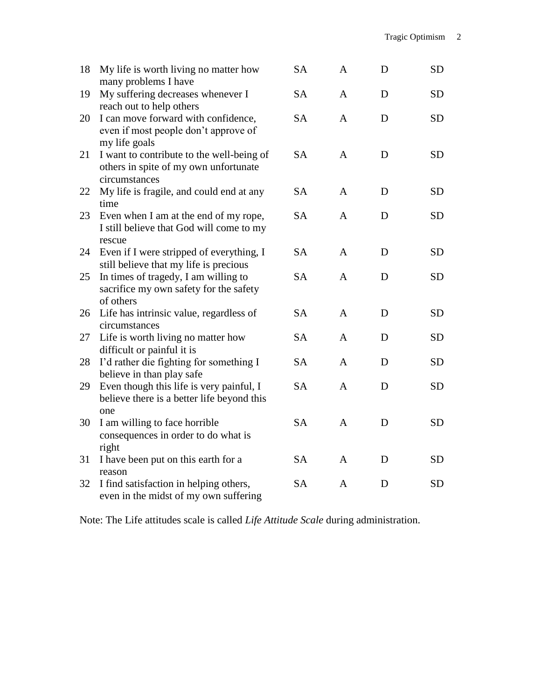| 18 | My life is worth living no matter how<br>many problems I have                                       | <b>SA</b> | $\mathbf{A}$ | D | <b>SD</b> |
|----|-----------------------------------------------------------------------------------------------------|-----------|--------------|---|-----------|
| 19 | My suffering decreases whenever I<br>reach out to help others                                       | <b>SA</b> | $\mathsf{A}$ | D | <b>SD</b> |
| 20 | I can move forward with confidence,<br>even if most people don't approve of<br>my life goals        | <b>SA</b> | $\mathsf{A}$ | D | <b>SD</b> |
| 21 | I want to contribute to the well-being of<br>others in spite of my own unfortunate<br>circumstances | <b>SA</b> | $\mathsf{A}$ | D | <b>SD</b> |
| 22 | My life is fragile, and could end at any<br>time                                                    | <b>SA</b> | $\mathbf{A}$ | D | <b>SD</b> |
| 23 | Even when I am at the end of my rope,<br>I still believe that God will come to my<br>rescue         | <b>SA</b> | A            | D | <b>SD</b> |
| 24 | Even if I were stripped of everything, I<br>still believe that my life is precious                  | <b>SA</b> | $\mathbf{A}$ | D | <b>SD</b> |
| 25 | In times of tragedy, I am willing to<br>sacrifice my own safety for the safety<br>of others         | <b>SA</b> | A            | D | <b>SD</b> |
| 26 | Life has intrinsic value, regardless of<br>circumstances                                            | <b>SA</b> | $\mathbf{A}$ | D | <b>SD</b> |
| 27 | Life is worth living no matter how<br>difficult or painful it is                                    | <b>SA</b> | A            | D | <b>SD</b> |
| 28 | I'd rather die fighting for something I<br>believe in than play safe                                | <b>SA</b> | A            | D | <b>SD</b> |
| 29 | Even though this life is very painful, I<br>believe there is a better life beyond this<br>one       | <b>SA</b> | $\mathsf{A}$ | D | <b>SD</b> |
| 30 | I am willing to face horrible<br>consequences in order to do what is<br>right                       | <b>SA</b> | $\mathbf{A}$ | D | <b>SD</b> |
| 31 | I have been put on this earth for a<br>reason                                                       | <b>SA</b> | A            | D | <b>SD</b> |
| 32 | I find satisfaction in helping others,<br>even in the midst of my own suffering                     | <b>SA</b> | A            | D | <b>SD</b> |

Note: The Life attitudes scale is called *Life Attitude Scale* during administration.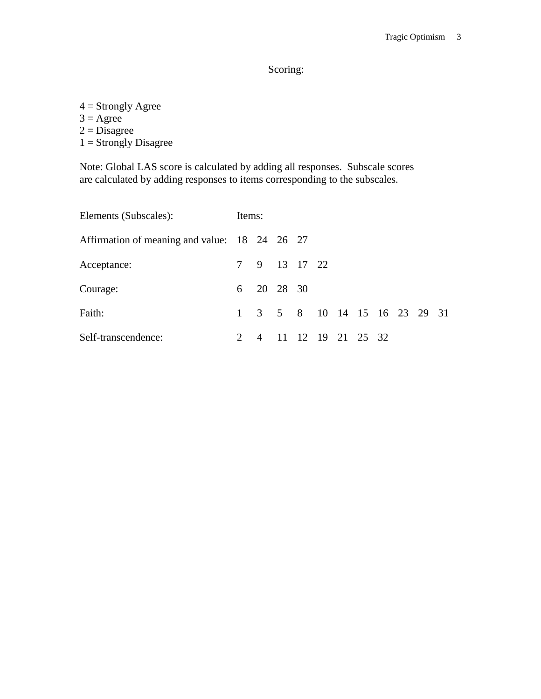Scoring:

- $4 =$  Strongly Agree
- $3 = \text{Agree}$
- $2 = \overline{\text{Disagree}}$
- $1 =$ Strongly Disagree

Note: Global LAS score is calculated by adding all responses. Subscale scores are calculated by adding responses to items corresponding to the subscales.

| Elements (Subscales):                         |                             | Items: |              |  |  |                              |  |  |  |  |  |
|-----------------------------------------------|-----------------------------|--------|--------------|--|--|------------------------------|--|--|--|--|--|
| Affirmation of meaning and value: 18 24 26 27 |                             |        |              |  |  |                              |  |  |  |  |  |
| Acceptance:                                   |                             |        | 7 9 13 17 22 |  |  |                              |  |  |  |  |  |
| Courage:                                      |                             |        | 6 20 28 30   |  |  |                              |  |  |  |  |  |
| Faith:                                        |                             |        |              |  |  | 1 3 5 8 10 14 15 16 23 29 31 |  |  |  |  |  |
| Self-transcendence:                           | $\mathcal{D}_{\mathcal{L}}$ |        |              |  |  | 4 11 12 19 21 25 32          |  |  |  |  |  |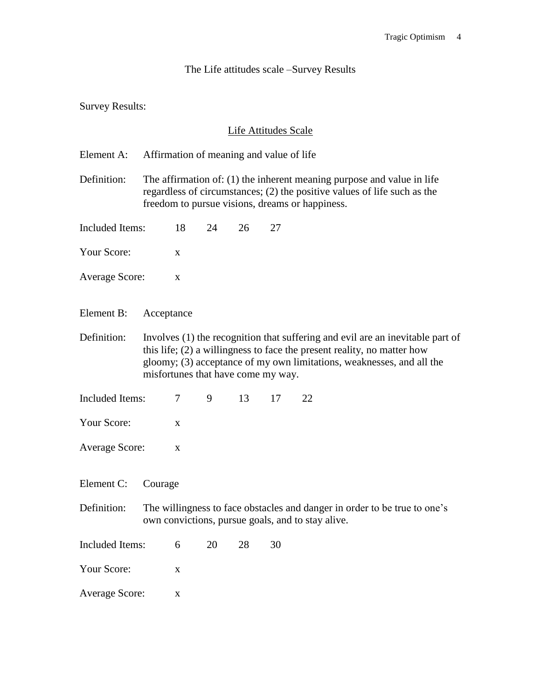## The Life attitudes scale –Survey Results

Survey Results:

## Life Attitudes Scale

Element A: Affirmation of meaning and value of life

Definition: The affirmation of: (1) the inherent meaning purpose and value in life regardless of circumstances; (2) the positive values of life such as the freedom to pursue visions, dreams or happiness.

Included Items: 18 24 26 27

Your Score:  $\overline{x}$ 

Average Score: x

Element B: Acceptance

Definition: Involves (1) the recognition that suffering and evil are an inevitable part of this life; (2) a willingness to face the present reality, no matter how gloomy; (3) acceptance of my own limitations, weaknesses, and all the misfortunes that have come my way.

Included Items:  $\begin{array}{cccc} 7 & 9 & 13 & 17 & 22 \end{array}$ 

- Your Score:  $x^2 x^2 = 0$
- Average Score: x

Element C: Courage

- Definition: The willingness to face obstacles and danger in order to be true to one's own convictions, pursue goals, and to stay alive.
- Included Items: 6 20 28 30

Your Score:  $x = x$ 

Average Score: x